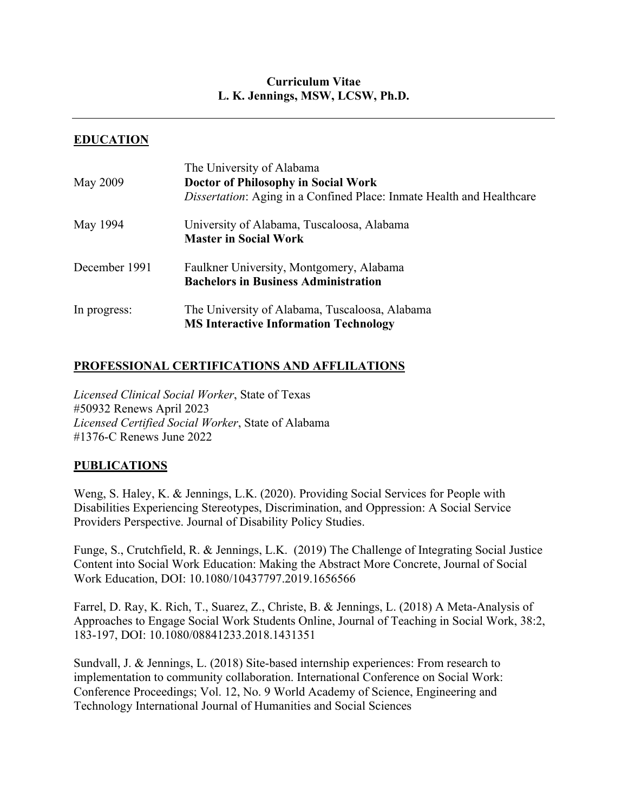# **Curriculum Vitae L. K. Jennings, MSW, LCSW, Ph.D.**

# **EDUCATION**

|               | The University of Alabama                                                    |
|---------------|------------------------------------------------------------------------------|
| May 2009      | Doctor of Philosophy in Social Work                                          |
|               | <i>Dissertation:</i> Aging in a Confined Place: Inmate Health and Healthcare |
| May 1994      | University of Alabama, Tuscaloosa, Alabama                                   |
|               | <b>Master in Social Work</b>                                                 |
| December 1991 | Faulkner University, Montgomery, Alabama                                     |
|               | <b>Bachelors in Business Administration</b>                                  |
| In progress:  | The University of Alabama, Tuscaloosa, Alabama                               |
|               | <b>MS Interactive Information Technology</b>                                 |

## **PROFESSIONAL CERTIFICATIONS AND AFFLILATIONS**

*Licensed Clinical Social Worker*, State of Texas #50932 Renews April 2023 *Licensed Certified Social Worker*, State of Alabama #1376-C Renews June 2022

## **PUBLICATIONS**

Weng, S. Haley, K. & Jennings, L.K. (2020). Providing Social Services for People with Disabilities Experiencing Stereotypes, Discrimination, and Oppression: A Social Service Providers Perspective. Journal of Disability Policy Studies.

Funge, S., Crutchfield, R. & Jennings, L.K. (2019) The Challenge of Integrating Social Justice Content into Social Work Education: Making the Abstract More Concrete, Journal of Social Work Education, DOI: 10.1080/10437797.2019.1656566

Farrel, D. Ray, K. Rich, T., Suarez, Z., Christe, B. & Jennings, L. (2018) A Meta-Analysis of Approaches to Engage Social Work Students Online, Journal of Teaching in Social Work, 38:2, 183-197, DOI: 10.1080/08841233.2018.1431351

Sundvall, J. & Jennings, L. (2018) Site-based internship experiences: From research to implementation to community collaboration. International Conference on Social Work: Conference Proceedings; Vol. 12, No. 9 World Academy of Science, Engineering and Technology International Journal of Humanities and Social Sciences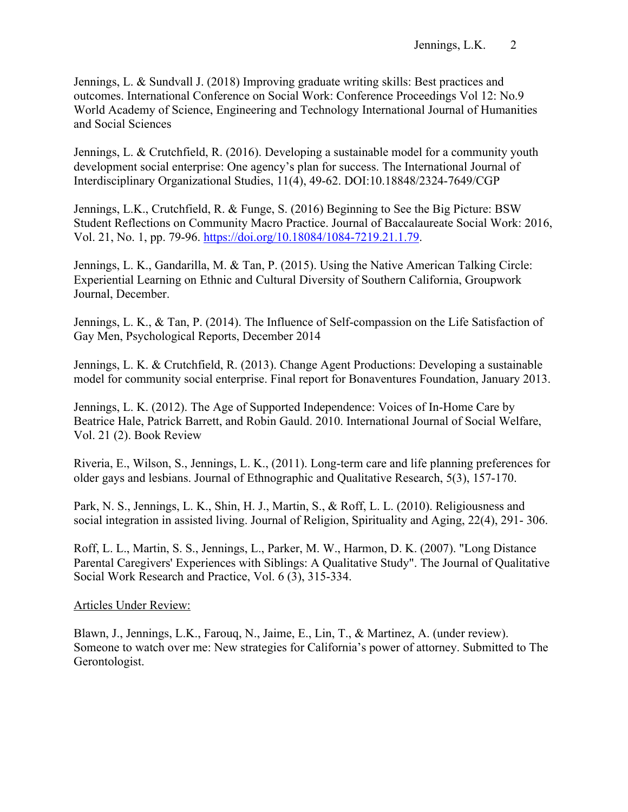Jennings, L. & Sundvall J. (2018) Improving graduate writing skills: Best practices and outcomes. International Conference on Social Work: Conference Proceedings Vol 12: No.9 World Academy of Science, Engineering and Technology International Journal of Humanities and Social Sciences

Jennings, L. & Crutchfield, R. (2016). Developing a sustainable model for a community youth development social enterprise: One agency's plan for success. The International Journal of Interdisciplinary Organizational Studies, 11(4), 49-62. DOI:10.18848/2324-7649/CGP

Jennings, L.K., Crutchfield, R. & Funge, S. (2016) Beginning to See the Big Picture: BSW Student Reflections on Community Macro Practice. Journal of Baccalaureate Social Work: 2016, Vol. 21, No. 1, pp. 79-96. https://doi.org/10.18084/1084-7219.21.1.79.

Jennings, L. K., Gandarilla, M. & Tan, P. (2015). Using the Native American Talking Circle: Experiential Learning on Ethnic and Cultural Diversity of Southern California, Groupwork Journal, December.

Jennings, L. K., & Tan, P. (2014). The Influence of Self-compassion on the Life Satisfaction of Gay Men, Psychological Reports, December 2014

Jennings, L. K. & Crutchfield, R. (2013). Change Agent Productions: Developing a sustainable model for community social enterprise. Final report for Bonaventures Foundation, January 2013.

Jennings, L. K. (2012). The Age of Supported Independence: Voices of In-Home Care by Beatrice Hale, Patrick Barrett, and Robin Gauld. 2010. International Journal of Social Welfare, Vol. 21 (2). Book Review

Riveria, E., Wilson, S., Jennings, L. K., (2011). Long-term care and life planning preferences for older gays and lesbians. Journal of Ethnographic and Qualitative Research, 5(3), 157-170.

Park, N. S., Jennings, L. K., Shin, H. J., Martin, S., & Roff, L. L. (2010). Religiousness and social integration in assisted living. Journal of Religion, Spirituality and Aging, 22(4), 291- 306.

Roff, L. L., Martin, S. S., Jennings, L., Parker, M. W., Harmon, D. K. (2007). "Long Distance Parental Caregivers' Experiences with Siblings: A Qualitative Study". The Journal of Qualitative Social Work Research and Practice, Vol. 6 (3), 315-334.

## Articles Under Review:

Blawn, J., Jennings, L.K., Farouq, N., Jaime, E., Lin, T., & Martinez, A. (under review). Someone to watch over me: New strategies for California's power of attorney. Submitted to The Gerontologist.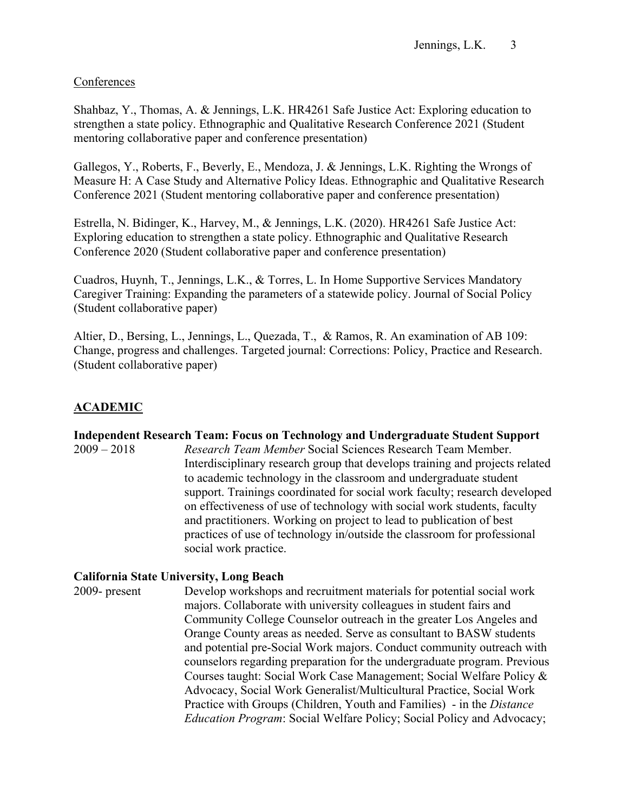## **Conferences**

Shahbaz, Y., Thomas, A. & Jennings, L.K. HR4261 Safe Justice Act: Exploring education to strengthen a state policy. Ethnographic and Qualitative Research Conference 2021 (Student mentoring collaborative paper and conference presentation)

Gallegos, Y., Roberts, F., Beverly, E., Mendoza, J. & Jennings, L.K. Righting the Wrongs of Measure H: A Case Study and Alternative Policy Ideas. Ethnographic and Qualitative Research Conference 2021 (Student mentoring collaborative paper and conference presentation)

Estrella, N. Bidinger, K., Harvey, M., & Jennings, L.K. (2020). HR4261 Safe Justice Act: Exploring education to strengthen a state policy. Ethnographic and Qualitative Research Conference 2020 (Student collaborative paper and conference presentation)

Cuadros, Huynh, T., Jennings, L.K., & Torres, L. In Home Supportive Services Mandatory Caregiver Training: Expanding the parameters of a statewide policy. Journal of Social Policy (Student collaborative paper)

Altier, D., Bersing, L., Jennings, L., Quezada, T., & Ramos, R. An examination of AB 109: Change, progress and challenges. Targeted journal: Corrections: Policy, Practice and Research. (Student collaborative paper)

# **ACADEMIC**

## **Independent Research Team: Focus on Technology and Undergraduate Student Support**

2009 – 2018 *Research Team Member* Social Sciences Research Team Member. Interdisciplinary research group that develops training and projects related to academic technology in the classroom and undergraduate student support. Trainings coordinated for social work faculty; research developed on effectiveness of use of technology with social work students, faculty and practitioners. Working on project to lead to publication of best practices of use of technology in/outside the classroom for professional social work practice.

## **California State University, Long Beach**

2009- present Develop workshops and recruitment materials for potential social work majors. Collaborate with university colleagues in student fairs and Community College Counselor outreach in the greater Los Angeles and Orange County areas as needed. Serve as consultant to BASW students and potential pre-Social Work majors. Conduct community outreach with counselors regarding preparation for the undergraduate program. Previous Courses taught: Social Work Case Management; Social Welfare Policy & Advocacy, Social Work Generalist/Multicultural Practice, Social Work Practice with Groups (Children, Youth and Families) - in the *Distance Education Program*: Social Welfare Policy; Social Policy and Advocacy;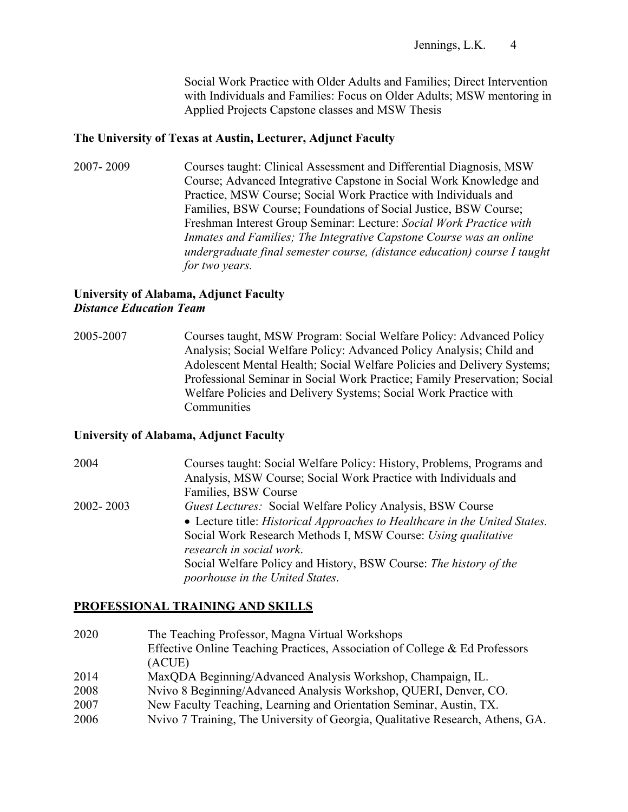Social Work Practice with Older Adults and Families; Direct Intervention with Individuals and Families: Focus on Older Adults; MSW mentoring in Applied Projects Capstone classes and MSW Thesis

### **The University of Texas at Austin, Lecturer, Adjunct Faculty**

2007- 2009 Courses taught: Clinical Assessment and Differential Diagnosis, MSW Course; Advanced Integrative Capstone in Social Work Knowledge and Practice, MSW Course; Social Work Practice with Individuals and Families, BSW Course; Foundations of Social Justice, BSW Course; Freshman Interest Group Seminar: Lecture: *Social Work Practice with Inmates and Families; The Integrative Capstone Course was an online undergraduate final semester course, (distance education) course I taught for two years.* 

## **University of Alabama, Adjunct Faculty** *Distance Education Team*

2005-2007 Courses taught, MSW Program: Social Welfare Policy: Advanced Policy Analysis; Social Welfare Policy: Advanced Policy Analysis; Child and Adolescent Mental Health; Social Welfare Policies and Delivery Systems; Professional Seminar in Social Work Practice; Family Preservation; Social Welfare Policies and Delivery Systems; Social Work Practice with **Communities** 

#### **University of Alabama, Adjunct Faculty**

2004 Courses taught: Social Welfare Policy: History, Problems, Programs and Analysis, MSW Course; Social Work Practice with Individuals and Families, BSW Course 2002- 2003 *Guest Lectures:* Social Welfare Policy Analysis, BSW Course • Lecture title: *Historical Approaches to Healthcare in the United States.* Social Work Research Methods I, MSW Course: *Using qualitative research in social work*. Social Welfare Policy and History, BSW Course: *The history of the poorhouse in the United States*.

## **PROFESSIONAL TRAINING AND SKILLS**

2020 The Teaching Professor, Magna Virtual Workshops Effective Online Teaching Practices, Association of College & Ed Professors (ACUE) 2014 MaxQDA Beginning/Advanced Analysis Workshop, Champaign, IL. 2008 Nvivo 8 Beginning/Advanced Analysis Workshop, QUERI, Denver, CO. 2007 New Faculty Teaching, Learning and Orientation Seminar, Austin, TX. 2006 Nvivo 7 Training, The University of Georgia, Qualitative Research, Athens, GA.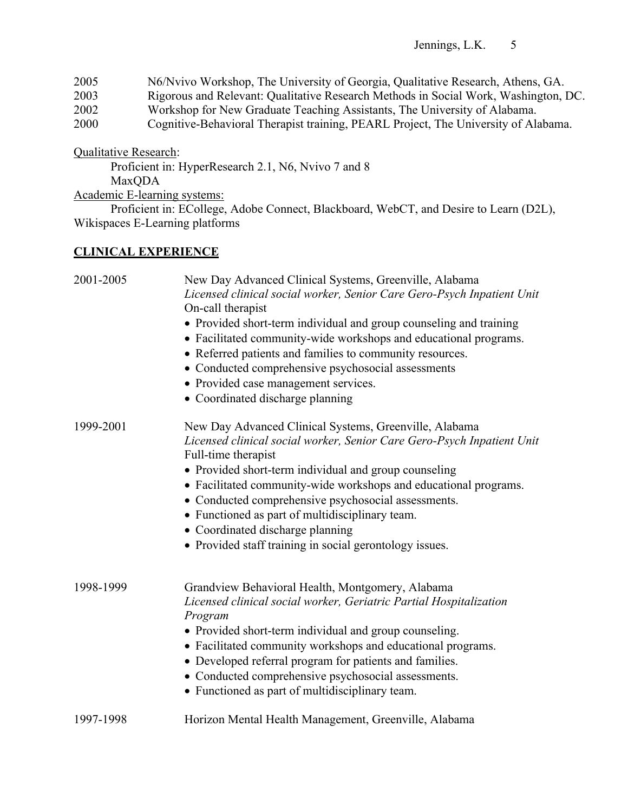2005 N6/Nvivo Workshop, The University of Georgia, Qualitative Research, Athens, GA. 2003 Rigorous and Relevant: Qualitative Research Methods in Social Work, Washington, DC. 2002 Workshop for New Graduate Teaching Assistants, The University of Alabama. 2000 Cognitive-Behavioral Therapist training, PEARL Project, The University of Alabama.

Qualitative Research:

Proficient in: HyperResearch 2.1, N6, Nvivo 7 and 8 MaxQDA

Academic E-learning systems:

Proficient in: ECollege, Adobe Connect, Blackboard, WebCT, and Desire to Learn (D2L), Wikispaces E-Learning platforms

# **CLINICAL EXPERIENCE**

| 2001-2005 | New Day Advanced Clinical Systems, Greenville, Alabama<br>Licensed clinical social worker, Senior Care Gero-Psych Inpatient Unit<br>On-call therapist<br>• Provided short-term individual and group counseling and training<br>• Facilitated community-wide workshops and educational programs.<br>• Referred patients and families to community resources.<br>• Conducted comprehensive psychosocial assessments<br>• Provided case management services.<br>• Coordinated discharge planning |
|-----------|-----------------------------------------------------------------------------------------------------------------------------------------------------------------------------------------------------------------------------------------------------------------------------------------------------------------------------------------------------------------------------------------------------------------------------------------------------------------------------------------------|
| 1999-2001 | New Day Advanced Clinical Systems, Greenville, Alabama<br>Licensed clinical social worker, Senior Care Gero-Psych Inpatient Unit<br>Full-time therapist<br>• Provided short-term individual and group counseling<br>• Facilitated community-wide workshops and educational programs.<br>• Conducted comprehensive psychosocial assessments.<br>• Functioned as part of multidisciplinary team.<br>• Coordinated discharge planning<br>• Provided staff training in social gerontology issues. |
| 1998-1999 | Grandview Behavioral Health, Montgomery, Alabama<br>Licensed clinical social worker, Geriatric Partial Hospitalization<br>Program<br>• Provided short-term individual and group counseling.<br>• Facilitated community workshops and educational programs.<br>• Developed referral program for patients and families.<br>• Conducted comprehensive psychosocial assessments.<br>• Functioned as part of multidisciplinary team.                                                               |
| 1997-1998 | Horizon Mental Health Management, Greenville, Alabama                                                                                                                                                                                                                                                                                                                                                                                                                                         |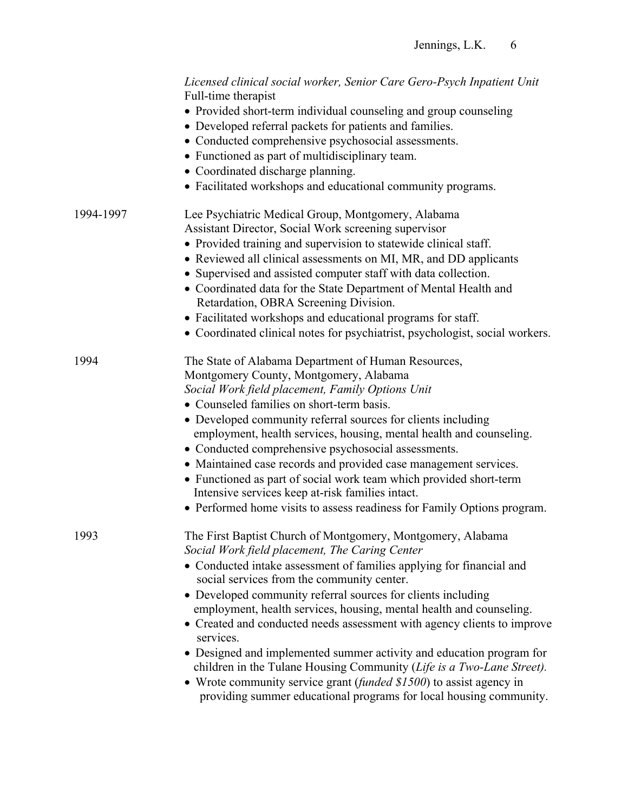|           | Licensed clinical social worker, Senior Care Gero-Psych Inpatient Unit<br>Full-time therapist<br>• Provided short-term individual counseling and group counseling<br>• Developed referral packets for patients and families.<br>• Conducted comprehensive psychosocial assessments.<br>• Functioned as part of multidisciplinary team.<br>• Coordinated discharge planning.<br>• Facilitated workshops and educational community programs.                                                                                                                                                                                                                                                                                                                         |
|-----------|--------------------------------------------------------------------------------------------------------------------------------------------------------------------------------------------------------------------------------------------------------------------------------------------------------------------------------------------------------------------------------------------------------------------------------------------------------------------------------------------------------------------------------------------------------------------------------------------------------------------------------------------------------------------------------------------------------------------------------------------------------------------|
| 1994-1997 | Lee Psychiatric Medical Group, Montgomery, Alabama<br>Assistant Director, Social Work screening supervisor<br>• Provided training and supervision to statewide clinical staff.<br>• Reviewed all clinical assessments on MI, MR, and DD applicants<br>• Supervised and assisted computer staff with data collection.<br>• Coordinated data for the State Department of Mental Health and<br>Retardation, OBRA Screening Division.<br>• Facilitated workshops and educational programs for staff.<br>• Coordinated clinical notes for psychiatrist, psychologist, social workers.                                                                                                                                                                                   |
| 1994      | The State of Alabama Department of Human Resources,<br>Montgomery County, Montgomery, Alabama<br>Social Work field placement, Family Options Unit<br>• Counseled families on short-term basis.<br>• Developed community referral sources for clients including<br>employment, health services, housing, mental health and counseling.<br>• Conducted comprehensive psychosocial assessments.<br>• Maintained case records and provided case management services.<br>• Functioned as part of social work team which provided short-term<br>Intensive services keep at-risk families intact.<br>• Performed home visits to assess readiness for Family Options program.                                                                                              |
| 1993      | The First Baptist Church of Montgomery, Montgomery, Alabama<br>Social Work field placement, The Caring Center<br>• Conducted intake assessment of families applying for financial and<br>social services from the community center.<br>• Developed community referral sources for clients including<br>employment, health services, housing, mental health and counseling.<br>• Created and conducted needs assessment with agency clients to improve<br>services.<br>• Designed and implemented summer activity and education program for<br>children in the Tulane Housing Community (Life is a Two-Lane Street).<br>• Wrote community service grant (funded $$1500$ ) to assist agency in<br>providing summer educational programs for local housing community. |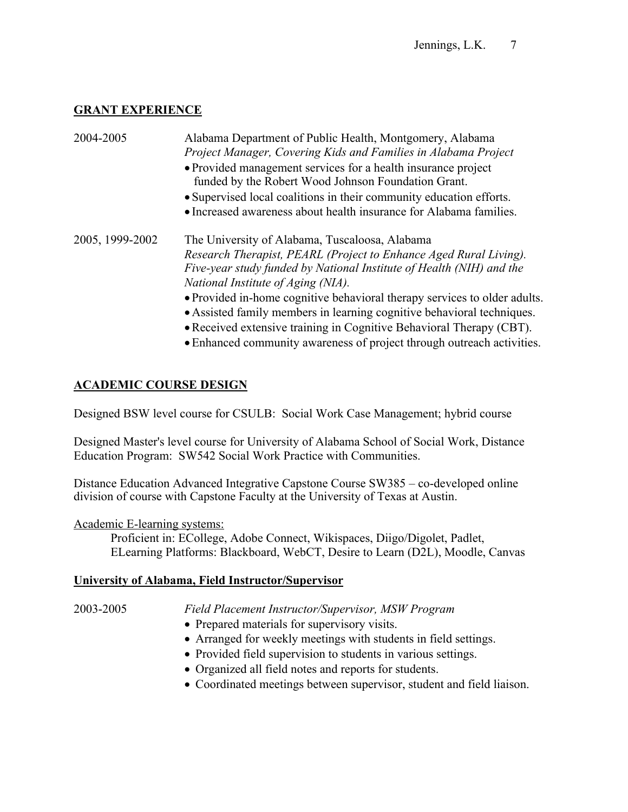# **GRANT EXPERIENCE**

| 2004-2005       | Alabama Department of Public Health, Montgomery, Alabama                  |
|-----------------|---------------------------------------------------------------------------|
|                 | Project Manager, Covering Kids and Families in Alabama Project            |
|                 | • Provided management services for a health insurance project             |
|                 | funded by the Robert Wood Johnson Foundation Grant.                       |
|                 | • Supervised local coalitions in their community education efforts.       |
|                 | • Increased awareness about health insurance for Alabama families.        |
| 2005, 1999-2002 | The University of Alabama, Tuscaloosa, Alabama                            |
|                 | Research Therapist, PEARL (Project to Enhance Aged Rural Living).         |
|                 | Five-year study funded by National Institute of Health (NIH) and the      |
|                 | National Institute of Aging (NIA).                                        |
|                 | • Provided in-home cognitive behavioral therapy services to older adults. |
|                 | • Assisted family members in learning cognitive behavioral techniques.    |
|                 | • Received extensive training in Cognitive Behavioral Therapy (CBT).      |

•Enhanced community awareness of project through outreach activities.

# **ACADEMIC COURSE DESIGN**

Designed BSW level course for CSULB: Social Work Case Management; hybrid course

Designed Master's level course for University of Alabama School of Social Work, Distance Education Program: SW542 Social Work Practice with Communities.

Distance Education Advanced Integrative Capstone Course SW385 – co-developed online division of course with Capstone Faculty at the University of Texas at Austin.

## Academic E-learning systems:

Proficient in: ECollege, Adobe Connect, Wikispaces, Diigo/Digolet, Padlet, ELearning Platforms: Blackboard, WebCT, Desire to Learn (D2L), Moodle, Canvas

## **University of Alabama, Field Instructor/Supervisor**

2003-2005 *Field Placement Instructor/Supervisor, MSW Program*

- Prepared materials for supervisory visits.
- Arranged for weekly meetings with students in field settings.
- Provided field supervision to students in various settings.
- Organized all field notes and reports for students.
- Coordinated meetings between supervisor, student and field liaison.